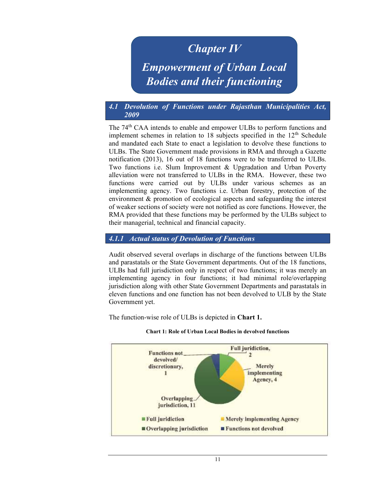## Chapter IV

# Empowerment of Urban Local Bodies and their functioning

## 4.1 Devolution of Functions under Rajasthan Municipalities Act, 2009

The 74<sup>th</sup> CAA intends to enable and empower ULBs to perform functions and implement schemes in relation to 18 subjects specified in the  $12<sup>th</sup>$  Schedule and mandated each State to enact a legislation to devolve these functions to ULBs. The State Government made provisions in RMA and through a Gazette notification (2013), 16 out of 18 functions were to be transferred to ULBs. Two functions i.e. Slum Improvement & Upgradation and Urban Poverty alleviation were not transferred to ULBs in the RMA. However, these two functions were carried out by ULBs under various schemes as an implementing agency. Two functions i.e. Urban forestry, protection of the environment & promotion of ecological aspects and safeguarding the interest of weaker sections of society were not notified as core functions. However, the RMA provided that these functions may be performed by the ULBs subject to their managerial, technical and financial capacity.

## 4.1.1 Actual status of Devolution of Functions

Audit observed several overlaps in discharge of the functions between ULBs and parastatals or the State Government departments. Out of the 18 functions, ULBs had full jurisdiction only in respect of two functions; it was merely an implementing agency in four functions; it had minimal role/overlapping jurisdiction along with other State Government Departments and parastatals in eleven functions and one function has not been devolved to ULB by the State Government yet.

The function-wise role of ULBs is depicted in Chart 1.



#### Chart 1: Role of Urban Local Bodies in devolved functions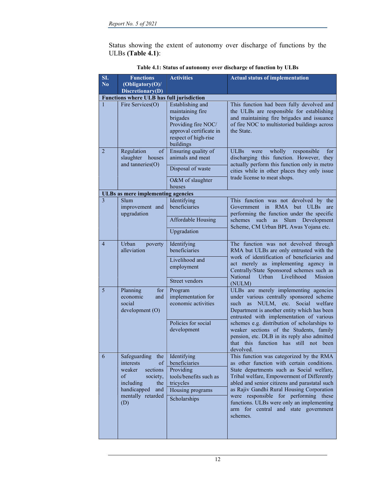Status showing the extent of autonomy over discharge of functions by the ULBs (Table 4.1):

| SI.                    | <b>Functions</b>                                                                                                                                     | <b>Activities</b>                                                                                                                       | <b>Actual status of implementation</b>                                                                                                                                                                                                                                                                                                                                                                                      |
|------------------------|------------------------------------------------------------------------------------------------------------------------------------------------------|-----------------------------------------------------------------------------------------------------------------------------------------|-----------------------------------------------------------------------------------------------------------------------------------------------------------------------------------------------------------------------------------------------------------------------------------------------------------------------------------------------------------------------------------------------------------------------------|
| $\overline{\text{No}}$ | (Obligatory(O)/                                                                                                                                      |                                                                                                                                         |                                                                                                                                                                                                                                                                                                                                                                                                                             |
|                        | Discretionary(D)                                                                                                                                     |                                                                                                                                         |                                                                                                                                                                                                                                                                                                                                                                                                                             |
|                        | <b>Functions where ULB has full jurisdiction</b>                                                                                                     |                                                                                                                                         |                                                                                                                                                                                                                                                                                                                                                                                                                             |
| 1                      | Fire Services(O)                                                                                                                                     | Establishing and<br>maintaining fire<br>brigades<br>Providing fire NOC/<br>approval certificate in<br>respect of high-rise<br>buildings | This function had been fully devolved and<br>the ULBs are responsible for establishing<br>and maintaining fire brigades and issuance<br>of fire NOC to multistoried buildings across<br>the State.                                                                                                                                                                                                                          |
| 2                      | Regulation<br>of<br>slaughter houses<br>and tanneries(O)                                                                                             | Ensuring quality of<br>animals and meat<br>Disposal of waste<br>O&M of slaughter<br>houses                                              | wholly<br><b>ULBs</b><br>were<br>responsible<br>for<br>discharging this function. However, they<br>actually perform this function only in metro<br>cities while in other places they only issue<br>trade license to meat shops.                                                                                                                                                                                             |
|                        | <b>ULBs as mere implementing agencies</b>                                                                                                            |                                                                                                                                         |                                                                                                                                                                                                                                                                                                                                                                                                                             |
| $\overline{3}$         | Slum<br>improvement and<br>upgradation                                                                                                               | Identifying<br>beneficiaries<br>Affordable Housing<br>Upgradation                                                                       | This function was not devolved by the<br>Government in RMA<br>but<br><b>ULBs</b><br>are<br>performing the function under the specific<br>Slum<br>Development<br>such<br>as<br>schemes<br>Scheme, CM Urban BPL Awas Yojana etc.                                                                                                                                                                                              |
| $\overline{4}$         | Urban<br>poverty<br>alleviation                                                                                                                      | Identifying<br>beneficiaries<br>Livelihood and<br>employment<br>Street vendors                                                          | The function was not devolved through<br>RMA but ULBs are only entrusted with the<br>work of identification of beneficiaries and<br>act merely as implementing agency in<br>Centrally/State Sponsored schemes such as<br>National<br>Urban<br>Livelihood<br>Mission<br>(NULM)                                                                                                                                               |
| 5 <sup>5</sup>         | Planning<br>for<br>economic<br>and<br>social<br>development (O)                                                                                      | Program<br>implementation for<br>economic activities<br>Policies for social<br>development                                              | ULBs are merely implementing agencies<br>under various centrally sponsored scheme<br>such<br>NULM, etc. Social<br>welfare<br>as<br>Department is another entity which has been<br>entrusted with implementation of various<br>schemes e.g. distribution of scholarships to<br>weaker sections of the Students, family<br>pension, etc. DLB in its reply also admitted<br>that this function has still not been<br>devolved. |
| 6                      | Safeguarding<br>the<br>of<br>interests<br>weaker<br>sections<br>of<br>society,<br>including<br>the<br>handicapped<br>and<br>mentally retarded<br>(D) | Identifying<br>beneficiaries<br>Providing<br>tools/benefits such as<br>tricycles<br>Housing programs<br>Scholarships                    | This function was categorized by the RMA<br>as other function with certain conditions.<br>State departments such as Social welfare,<br>Tribal welfare, Empowerment of Differently<br>abled and senior citizens and parastatal such<br>as Rajiv Gandhi Rural Housing Corporation<br>were responsible for performing these<br>functions. ULBs were only an implementing<br>arm for central and state government<br>schemes.   |

Table 4.1: Status of autonomy over discharge of function by ULBs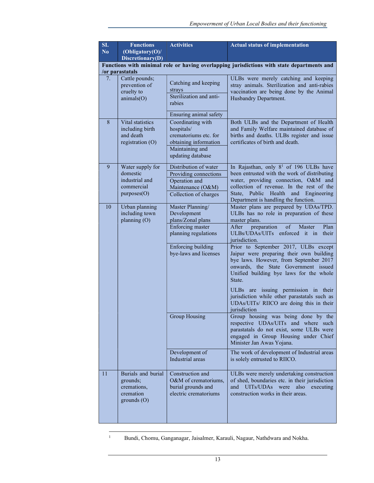| SI.<br>N <sub>o</sub> | <b>Functions</b><br>(Obligatory(O)<br>Discretionary(D)                                                        | <b>Activities</b>                                                                                                                               | <b>Actual status of implementation</b>                                                                                                                                                                                                                                                                                                                                                                                                                                                                                                                                                        |  |  |
|-----------------------|---------------------------------------------------------------------------------------------------------------|-------------------------------------------------------------------------------------------------------------------------------------------------|-----------------------------------------------------------------------------------------------------------------------------------------------------------------------------------------------------------------------------------------------------------------------------------------------------------------------------------------------------------------------------------------------------------------------------------------------------------------------------------------------------------------------------------------------------------------------------------------------|--|--|
|                       | Functions with minimal role or having overlapping jurisdictions with state departments and<br>/or parastatals |                                                                                                                                                 |                                                                                                                                                                                                                                                                                                                                                                                                                                                                                                                                                                                               |  |  |
| 7.                    | Cattle pounds;<br>prevention of<br>cruelty to<br>animals(O)                                                   | Catching and keeping<br>strays<br>Sterilization and anti-<br>rabies<br>Ensuring animal safety                                                   | ULBs were merely catching and keeping<br>stray animals. Sterilization and anti-rabies<br>vaccination are being done by the Animal<br>Husbandry Department.                                                                                                                                                                                                                                                                                                                                                                                                                                    |  |  |
| 8                     | Vital statistics<br>including birth<br>and death<br>registration (O)                                          | Coordinating with<br>hospitals/<br>crematoriums etc. for<br>obtaining information<br>Maintaining and<br>updating database                       | Both ULBs and the Department of Health<br>and Family Welfare maintained database of<br>births and deaths. ULBs register and issue<br>certificates of birth and death.                                                                                                                                                                                                                                                                                                                                                                                                                         |  |  |
| 9                     | Water supply for<br>domestic<br>industrial and<br>commercial<br>purposes(O)                                   | Distribution of water<br>Providing connections<br>Operation and<br>Maintenance (O&M)<br>Collection of charges                                   | In Rajasthan, only 8 <sup>1</sup> of 196 ULBs have<br>been entrusted with the work of distributing<br>water, providing connection, O&M and<br>collection of revenue. In the rest of the<br>State, Public Health and Engineering<br>Department is handling the function.                                                                                                                                                                                                                                                                                                                       |  |  |
| 10                    | Urban planning<br>including town<br>planning (O)                                                              | Master Planning/<br>Development<br>plans/Zonal plans<br>Enforcing master<br>planning regulations<br>Enforcing building<br>bye-laws and licenses | Master plans are prepared by UDAs/TPD.<br>ULBs has no role in preparation of these<br>master plans.<br>Plan<br>preparation<br>of<br>Master<br>After<br>ULBs/UDAs/UITs enforced it in<br>their<br>jurisdiction.<br>Prior to September 2017, ULBs except<br>Jaipur were preparing their own building<br>bye laws. However, from September 2017<br>onwards, the State Government issued<br>Unified building bye laws for the whole<br>State.<br>ULBs are issuing permission in their<br>jurisdiction while other parastatals such as<br>UDAs/UITs/ RIICO are doing this in their<br>jurisdiction |  |  |
|                       |                                                                                                               | Group Housing                                                                                                                                   | Group housing was being done by the<br>respective UDAs/UITs and where such<br>parastatals do not exist, some ULBs were<br>engaged in Group Housing under Chief<br>Minister Jan Awas Yojana.                                                                                                                                                                                                                                                                                                                                                                                                   |  |  |
|                       |                                                                                                               | Development of<br>Industrial areas                                                                                                              | The work of development of Industrial areas<br>is solely entrusted to RIICO.                                                                                                                                                                                                                                                                                                                                                                                                                                                                                                                  |  |  |
| 11                    | Burials and burial<br>grounds;<br>cremations,<br>cremation<br>grounds(O)                                      | Construction and<br>O&M of crematoriums,<br>burial grounds and<br>electric crematoriums                                                         | ULBs were merely undertaking construction<br>of shed, boundaries etc. in their jurisdiction<br>and UITs/UDAs were<br>also<br>executing<br>construction works in their areas.                                                                                                                                                                                                                                                                                                                                                                                                                  |  |  |

<sup>1</sup> Bundi, Chomu, Ganganagar, Jaisalmer, Karauli, Nagaur, Nathdwara and Nokha.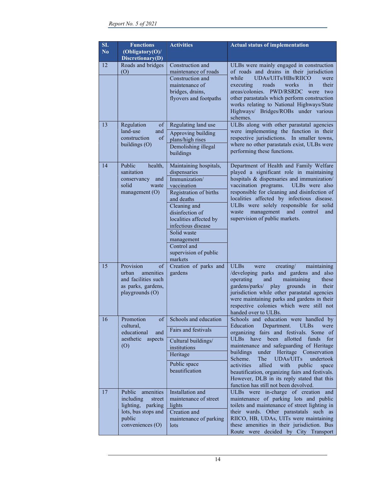| SI.<br>N <sub>0</sub> | <b>Functions</b><br>(Obligatory(O)/<br>Discretionary(D)                                                           | <b>Activities</b>                                                                                                                                                                                                                                                                 | <b>Actual status of implementation</b>                                                                                                                                                                                                                                                                                                                                                                                                                                                                             |
|-----------------------|-------------------------------------------------------------------------------------------------------------------|-----------------------------------------------------------------------------------------------------------------------------------------------------------------------------------------------------------------------------------------------------------------------------------|--------------------------------------------------------------------------------------------------------------------------------------------------------------------------------------------------------------------------------------------------------------------------------------------------------------------------------------------------------------------------------------------------------------------------------------------------------------------------------------------------------------------|
| 12                    | Roads and bridges<br>(0)                                                                                          | Construction and<br>maintenance of roads<br>Construction and<br>maintenance of<br>bridges, drains,<br>flyovers and footpaths                                                                                                                                                      | ULBs were mainly engaged in construction<br>of roads and drains in their jurisdiction<br>UDAs/UITs/HBs/RIICO<br>while<br>were<br>roads<br>works<br>their<br>executing<br>in<br>areas/colonies. PWD/RSRDC<br>were<br>two<br>other parastatals which perform construction<br>works relating to National Highways/State<br>Highways/ Bridges/ROBs under various<br>schemes.                                                                                                                                           |
| 13                    | Regulation<br>of<br>land-use<br>and<br>construction<br>of<br>buildings (O)                                        | Regulating land use<br>Approving building<br>plans/high rises<br>Demolishing illegal<br>buildings                                                                                                                                                                                 | ULBs along with other parastatal agencies<br>were implementing the function in their<br>respective jurisdictions. In smaller towns,<br>where no other parastatals exist, ULBs were<br>performing these functions.                                                                                                                                                                                                                                                                                                  |
| 14                    | Public<br>health,<br>sanitation<br>conservancy<br>and<br>solid<br>waste<br>management $(O)$                       | Maintaining hospitals,<br>dispensaries<br>Immunization/<br>vaccination<br>Registration of births<br>and deaths<br>Cleaning and<br>disinfection of<br>localities affected by<br>infectious disease<br>Solid waste<br>management<br>Control and<br>supervision of public<br>markets | Department of Health and Family Welfare<br>played a significant role in maintaining<br>hospitals & dispensaries and immunization/<br>vaccination programs.<br>ULBs were also<br>responsible for cleaning and disinfection of<br>localities affected by infectious disease.<br>ULBs were solely responsible for solid<br>management<br>and<br>waste<br>control<br>and<br>supervision of public markets.                                                                                                             |
| 15                    | Provision<br>of<br>amenities<br>urban<br>and facilities such<br>as parks, gardens,<br>playgrounds (O)             | Creation of parks and<br>gardens                                                                                                                                                                                                                                                  | <b>ULBs</b><br>creating/<br>maintaining<br>were<br>/developing parks and gardens and also<br>operating<br>and<br>maintaining<br>these<br>gardens/parks/<br>play<br>grounds in<br>their<br>jurisdiction while other parastatal agencies<br>were maintaining parks and gardens in their<br>respective colonies which were still not<br>handed over to ULBs.                                                                                                                                                          |
| 16                    | Promotion<br>of<br>cultural,<br>educational<br>and<br>aesthetic<br>aspects<br>(0)                                 | Schools and education<br>Fairs and festivals<br>Cultural buildings/<br>institutions<br>Heritage<br>Public space<br>beautification                                                                                                                                                 | Schools and education were handled by<br>Education<br>Department.<br><b>ULBs</b><br>were<br>organizing fairs and festivals. Some of<br>ULBs have been<br>allotted funds<br>for<br>maintenance and safeguarding of Heritage<br>buildings<br>Heritage Conservation<br>under<br>Scheme.<br>UDAs/UITs<br>undertook<br>The<br>activities<br>allied<br>with<br>public<br>space<br>beautification, organizing fairs and festivals.<br>However, DLB in its reply stated that this<br>function has still not been devolved. |
| 17                    | Public amenities<br>including<br>street<br>lighting, parking<br>lots, bus stops and<br>public<br>conveniences (O) | Installation and<br>maintenance of street<br>lights<br>Creation and<br>maintenance of parking<br>lots                                                                                                                                                                             | ULBs were in-charge of creation and<br>maintenance of parking lots and public<br>toilets and maintenance of street lighting in<br>their wards. Other parastatals such as<br>RIICO, HB, UDAs, UITs were maintaining<br>these amenities in their jurisdiction. Bus<br>Route were decided by City Transport                                                                                                                                                                                                           |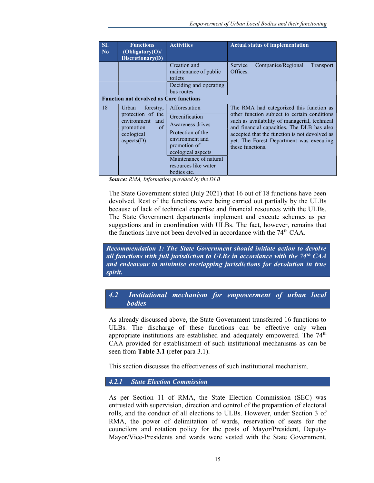| SI.<br>N <sub>0</sub> | <b>Functions</b><br>(Obligatory(O))<br>Discretionary(D)                                                            | <b>Activities</b>                                                                                                                                                                                  | <b>Actual status of implementation</b>                                                                                                                                                                                                                                                                   |
|-----------------------|--------------------------------------------------------------------------------------------------------------------|----------------------------------------------------------------------------------------------------------------------------------------------------------------------------------------------------|----------------------------------------------------------------------------------------------------------------------------------------------------------------------------------------------------------------------------------------------------------------------------------------------------------|
|                       |                                                                                                                    | Creation and<br>maintenance of public<br>toilets<br>Deciding and operating<br>bus routes                                                                                                           | Companies/Regional<br>Service<br><b>Transport</b><br>Offices.                                                                                                                                                                                                                                            |
|                       | <b>Function not devolved as Core functions</b>                                                                     |                                                                                                                                                                                                    |                                                                                                                                                                                                                                                                                                          |
| 18                    | forestry,<br>Urban<br>protection of the<br>environment<br>and<br>of<br>promotion<br>ecological<br>$a$ spects $(D)$ | Afforestation<br>Greenification<br>Awareness drives<br>Protection of the<br>environment and<br>promotion of<br>ecological aspects<br>Maintenance of natural<br>resources like water<br>bodies etc. | The RMA had categorized this function as<br>other function subject to certain conditions<br>such as availability of managerial, technical<br>and financial capacities. The DLB has also<br>accepted that the function is not devolved as<br>yet. The Forest Department was executing<br>these functions. |

Source: RMA, Information provided by the DLB

The State Government stated (July 2021) that 16 out of 18 functions have been devolved. Rest of the functions were being carried out partially by the ULBs because of lack of technical expertise and financial resources with the ULBs. The State Government departments implement and execute schemes as per suggestions and in coordination with ULBs. The fact, however, remains that the functions have not been devolved in accordance with the 74<sup>th</sup> CAA.

Recommendation 1: The State Government should initiate action to devolve all functions with full jurisdiction to ULBs in accordance with the  $74<sup>th</sup> CAA$ and endeavour to minimise overlapping jurisdictions for devolution in true spirit.

## 4.2 Institutional mechanism for empowerment of urban local bodies

As already discussed above, the State Government transferred 16 functions to ULBs. The discharge of these functions can be effective only when appropriate institutions are established and adequately empowered. The  $74<sup>th</sup>$ CAA provided for establishment of such institutional mechanisms as can be seen from Table 3.1 (refer para 3.1).

This section discusses the effectiveness of such institutional mechanism.

#### 4.2.1 State Election Commission

As per Section 11 of RMA, the State Election Commission (SEC) was entrusted with supervision, direction and control of the preparation of electoral rolls, and the conduct of all elections to ULBs. However, under Section 3 of RMA, the power of delimitation of wards, reservation of seats for the councilors and rotation policy for the posts of Mayor/President, Deputy-Mayor/Vice-Presidents and wards were vested with the State Government.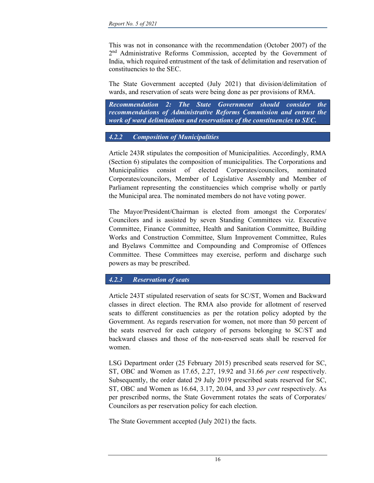This was not in consonance with the recommendation (October 2007) of the 2<sup>nd</sup> Administrative Reforms Commission, accepted by the Government of India, which required entrustment of the task of delimitation and reservation of constituencies to the SEC.

The State Government accepted (July 2021) that division/delimitation of wards, and reservation of seats were being done as per provisions of RMA.

Recommendation 2: The State Government should consider the recommendations of Administrative Reforms Commission and entrust the work of ward delimitations and reservations of the constituencies to SEC.

### 4.2.2 Composition of Municipalities

Article 243R stipulates the composition of Municipalities. Accordingly, RMA (Section 6) stipulates the composition of municipalities. The Corporations and Municipalities consist of elected Corporates/councilors, nominated Corporates/councilors, Member of Legislative Assembly and Member of Parliament representing the constituencies which comprise wholly or partly the Municipal area. The nominated members do not have voting power.

The Mayor/President/Chairman is elected from amongst the Corporates/ Councilors and is assisted by seven Standing Committees viz. Executive Committee, Finance Committee, Health and Sanitation Committee, Building Works and Construction Committee, Slum Improvement Committee, Rules and Byelaws Committee and Compounding and Compromise of Offences Committee. These Committees may exercise, perform and discharge such powers as may be prescribed.

#### 4.2.3 Reservation of seats

Article 243T stipulated reservation of seats for SC/ST, Women and Backward classes in direct election. The RMA also provide for allotment of reserved seats to different constituencies as per the rotation policy adopted by the Government. As regards reservation for women, not more than 50 percent of the seats reserved for each category of persons belonging to SC/ST and backward classes and those of the non-reserved seats shall be reserved for women.

LSG Department order (25 February 2015) prescribed seats reserved for SC, ST, OBC and Women as 17.65, 2.27, 19.92 and 31.66 per cent respectively. Subsequently, the order dated 29 July 2019 prescribed seats reserved for SC, ST, OBC and Women as 16.64, 3.17, 20.04, and 33 per cent respectively. As per prescribed norms, the State Government rotates the seats of Corporates/ Councilors as per reservation policy for each election.

The State Government accepted (July 2021) the facts.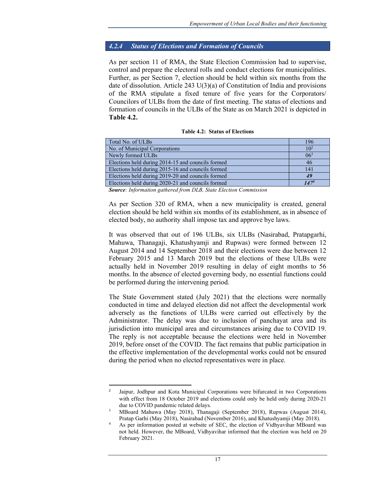#### 4.2.4 Status of Elections and Formation of Councils

As per section 11 of RMA, the State Election Commission had to supervise, control and prepare the electoral rolls and conduct elections for municipalities. Further, as per Section 7, election should be held within six months from the date of dissolution. Article 243  $U(3)(a)$  of Constitution of India and provisions of the RMA stipulate a fixed tenure of five years for the Corporators/ Councilors of ULBs from the date of first meeting. The status of elections and formation of councils in the ULBs of the State as on March 2021 is depicted in Table 4.2.

|  |  | <b>Table 4.2: Status of Elections</b> |
|--|--|---------------------------------------|
|--|--|---------------------------------------|

| Total No. of ULBs                                 | 196       |
|---------------------------------------------------|-----------|
| No. of Municipal Corporations                     | $10^{2}$  |
| Newly formed ULBs                                 | $06^3$    |
| Elections held during 2014-15 and councils formed | 46        |
| Elections held during 2015-16 and councils formed | 141       |
| Elections held during 2019-20 and councils formed | 49        |
| Elections held during 2020-21 and councils formed | $147^{4}$ |

Source: Information gathered from DLB, State Election Commission

As per Section 320 of RMA, when a new municipality is created, general election should be held within six months of its establishment, as in absence of elected body, no authority shall impose tax and approve bye laws.

It was observed that out of 196 ULBs, six ULBs (Nasirabad, Pratapgarhi, Mahuwa, Thanagaji, Khatushyamji and Rupwas) were formed between 12 August 2014 and 14 September 2018 and their elections were due between 12 February 2015 and 13 March 2019 but the elections of these ULBs were actually held in November 2019 resulting in delay of eight months to 56 months. In the absence of elected governing body, no essential functions could be performed during the intervening period.

The State Government stated (July 2021) that the elections were normally conducted in time and delayed election did not affect the developmental work adversely as the functions of ULBs were carried out effectively by the Administrator. The delay was due to inclusion of panchayat area and its jurisdiction into municipal area and circumstances arising due to COVID 19. The reply is not acceptable because the elections were held in November 2019, before onset of the COVID. The fact remains that public participation in the effective implementation of the developmental works could not be ensured during the period when no elected representatives were in place.

<sup>&</sup>lt;sup>2</sup> Jaipur, Jodhpur and Kota Municipal Corporations were bifurcated in two Corporations with effect from 18 October 2019 and elections could only be held only during 2020-21 due to COVID pandemic related delays.

<sup>3</sup> MBoard Mahuwa (May 2018), Thanagaji (September 2018), Rupwas (August 2014), Pratap Garhi (May 2018), Nasirabad (November 2016), and Khatushyamji (May 2018).

<sup>4</sup> As per information posted at website of SEC, the election of Vidhyavihar MBoard was not held. However, the MBoard, Vidhyavihar informed that the election was held on 20 February 2021.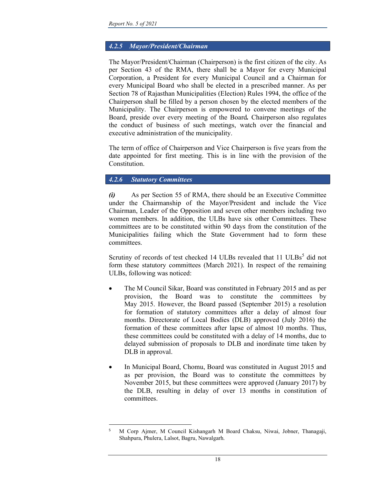## 4.2.5 Mayor/President/Chairman

The Mayor/President/Chairman (Chairperson) is the first citizen of the city. As per Section 43 of the RMA, there shall be a Mayor for every Municipal Corporation, a President for every Municipal Council and a Chairman for every Municipal Board who shall be elected in a prescribed manner. As per Section 78 of Rajasthan Municipalities (Election) Rules 1994, the office of the Chairperson shall be filled by a person chosen by the elected members of the Municipality. The Chairperson is empowered to convene meetings of the Board, preside over every meeting of the Board. Chairperson also regulates the conduct of business of such meetings, watch over the financial and executive administration of the municipality.

The term of office of Chairperson and Vice Chairperson is five years from the date appointed for first meeting. This is in line with the provision of the Constitution.

### 4.2.6 Statutory Committees

(i) As per Section 55 of RMA, there should be an Executive Committee under the Chairmanship of the Mayor/President and include the Vice Chairman, Leader of the Opposition and seven other members including two women members. In addition, the ULBs have six other Committees. These committees are to be constituted within 90 days from the constitution of the Municipalities failing which the State Government had to form these committees.

Scrutiny of records of test checked 14 ULBs revealed that 11 ULBs<sup>5</sup> did not form these statutory committees (March 2021). In respect of the remaining ULBs, following was noticed:

- The M Council Sikar, Board was constituted in February 2015 and as per provision, the Board was to constitute the committees by May 2015. However, the Board passed (September 2015) a resolution for formation of statutory committees after a delay of almost four months. Directorate of Local Bodies (DLB) approved (July 2016) the formation of these committees after lapse of almost 10 months. Thus, these committees could be constituted with a delay of 14 months, due to delayed submission of proposals to DLB and inordinate time taken by DLB in approval.
- In Municipal Board, Chomu, Board was constituted in August 2015 and as per provision, the Board was to constitute the committees by November 2015, but these committees were approved (January 2017) by the DLB, resulting in delay of over 13 months in constitution of committees.

<sup>5</sup> M Corp Ajmer, M Council Kishangarh M Board Chaksu, Niwai, Jobner, Thanagaji, Shahpura, Phulera, Lalsot, Bagru, Nawalgarh.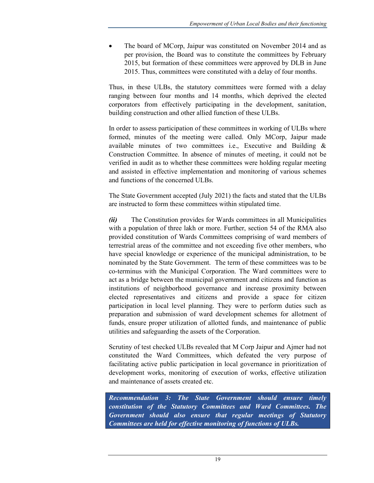The board of MCorp, Jaipur was constituted on November 2014 and as per provision, the Board was to constitute the committees by February 2015, but formation of these committees were approved by DLB in June 2015. Thus, committees were constituted with a delay of four months.

Thus, in these ULBs, the statutory committees were formed with a delay ranging between four months and 14 months, which deprived the elected corporators from effectively participating in the development, sanitation, building construction and other allied function of these ULBs.

In order to assess participation of these committees in working of ULBs where formed, minutes of the meeting were called. Only MCorp, Jaipur made available minutes of two committees i.e., Executive and Building & Construction Committee. In absence of minutes of meeting, it could not be verified in audit as to whether these committees were holding regular meeting and assisted in effective implementation and monitoring of various schemes and functions of the concerned ULBs.

The State Government accepted (July 2021) the facts and stated that the ULBs are instructed to form these committees within stipulated time.

(ii) The Constitution provides for Wards committees in all Municipalities with a population of three lakh or more. Further, section 54 of the RMA also provided constitution of Wards Committees comprising of ward members of terrestrial areas of the committee and not exceeding five other members, who have special knowledge or experience of the municipal administration, to be nominated by the State Government. The term of these committees was to be co-terminus with the Municipal Corporation. The Ward committees were to act as a bridge between the municipal government and citizens and function as institutions of neighborhood governance and increase proximity between elected representatives and citizens and provide a space for citizen participation in local level planning. They were to perform duties such as preparation and submission of ward development schemes for allotment of funds, ensure proper utilization of allotted funds, and maintenance of public utilities and safeguarding the assets of the Corporation.

Scrutiny of test checked ULBs revealed that M Corp Jaipur and Ajmer had not constituted the Ward Committees, which defeated the very purpose of facilitating active public participation in local governance in prioritization of development works, monitoring of execution of works, effective utilization and maintenance of assets created etc.

Recommendation 3: The State Government should ensure timely constitution of the Statutory Committees and Ward Committees. The Government should also ensure that regular meetings of Statutory Committees are held for effective monitoring of functions of ULBs.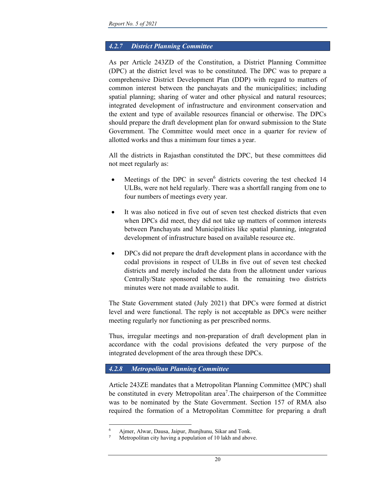## 4.2.7 District Planning Committee

As per Article 243ZD of the Constitution, a District Planning Committee (DPC) at the district level was to be constituted. The DPC was to prepare a comprehensive District Development Plan (DDP) with regard to matters of common interest between the panchayats and the municipalities; including spatial planning; sharing of water and other physical and natural resources; integrated development of infrastructure and environment conservation and the extent and type of available resources financial or otherwise. The DPCs should prepare the draft development plan for onward submission to the State Government. The Committee would meet once in a quarter for review of allotted works and thus a minimum four times a year.

All the districts in Rajasthan constituted the DPC, but these committees did not meet regularly as:

- Meetings of the DPC in seven<sup>6</sup> districts covering the test checked 14 ULBs, were not held regularly. There was a shortfall ranging from one to four numbers of meetings every year.
- It was also noticed in five out of seven test checked districts that even when DPCs did meet, they did not take up matters of common interests between Panchayats and Municipalities like spatial planning, integrated development of infrastructure based on available resource etc.
- DPCs did not prepare the draft development plans in accordance with the codal provisions in respect of ULBs in five out of seven test checked districts and merely included the data from the allotment under various Centrally/State sponsored schemes. In the remaining two districts minutes were not made available to audit.

The State Government stated (July 2021) that DPCs were formed at district level and were functional. The reply is not acceptable as DPCs were neither meeting regularly nor functioning as per prescribed norms.

Thus, irregular meetings and non-preparation of draft development plan in accordance with the codal provisions defeated the very purpose of the integrated development of the area through these DPCs.

## 4.2.8 Metropolitan Planning Committee

Article 243ZE mandates that a Metropolitan Planning Committee (MPC) shall be constituted in every Metropolitan area<sup>7</sup>. The chairperson of the Committee was to be nominated by the State Government. Section 157 of RMA also required the formation of a Metropolitan Committee for preparing a draft

<sup>6</sup> Ajmer, Alwar, Dausa, Jaipur, Jhunjhunu, Sikar and Tonk.

Metropolitan city having a population of 10 lakh and above.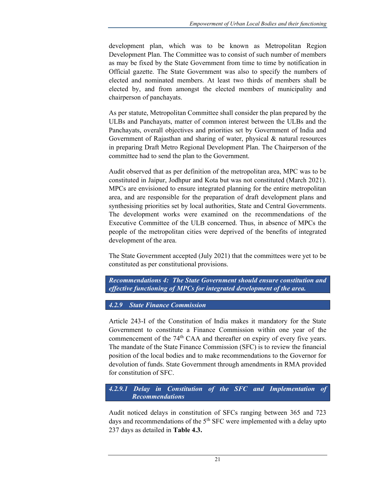development plan, which was to be known as Metropolitan Region Development Plan. The Committee was to consist of such number of members as may be fixed by the State Government from time to time by notification in Official gazette. The State Government was also to specify the numbers of elected and nominated members. At least two thirds of members shall be elected by, and from amongst the elected members of municipality and chairperson of panchayats.

As per statute, Metropolitan Committee shall consider the plan prepared by the ULBs and Panchayats, matter of common interest between the ULBs and the Panchayats, overall objectives and priorities set by Government of India and Government of Rajasthan and sharing of water, physical & natural resources in preparing Draft Metro Regional Development Plan. The Chairperson of the committee had to send the plan to the Government.

Audit observed that as per definition of the metropolitan area, MPC was to be constituted in Jaipur, Jodhpur and Kota but was not constituted (March 2021). MPCs are envisioned to ensure integrated planning for the entire metropolitan area, and are responsible for the preparation of draft development plans and synthesising priorities set by local authorities, State and Central Governments. The development works were examined on the recommendations of the Executive Committee of the ULB concerned. Thus, in absence of MPCs the people of the metropolitan cities were deprived of the benefits of integrated development of the area.

The State Government accepted (July 2021) that the committees were yet to be constituted as per constitutional provisions.

Recommendations 4: The State Government should ensure constitution and effective functioning of MPCs for integrated development of the area.

4.2.9 State Finance Commission

Article 243-I of the Constitution of India makes it mandatory for the State Government to constitute a Finance Commission within one year of the commencement of the 74<sup>th</sup> CAA and thereafter on expiry of every five years. The mandate of the State Finance Commission (SFC) is to review the financial position of the local bodies and to make recommendations to the Governor for devolution of funds. State Government through amendments in RMA provided for constitution of SFC.

4.2.9.1 Delay in Constitution of the SFC and Implementation of Recommendations

Audit noticed delays in constitution of SFCs ranging between 365 and 723 days and recommendations of the  $5<sup>th</sup>$  SFC were implemented with a delay upto 237 days as detailed in Table 4.3.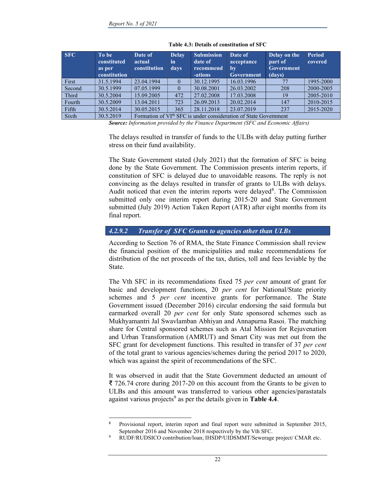| <b>SFC</b> | To be<br>constituted<br>as per<br>constitution | Date of<br>actual<br>constitution | <b>Delay</b><br>in<br>days | <b>Submission</b><br>date of<br>recommend<br>-ations | Date of<br>acceptance<br>$bv$<br><b>Government</b>                           | Delay on the<br>part of<br>Government<br>(days) | <b>Period</b><br>covered |
|------------|------------------------------------------------|-----------------------------------|----------------------------|------------------------------------------------------|------------------------------------------------------------------------------|-------------------------------------------------|--------------------------|
| First      | 31.5.1994                                      | 23.04.1994                        | $\theta$                   | 30.12.1995                                           | 16.03.1996                                                                   |                                                 | 1995-2000                |
| Second     | 30.5.1999                                      | 07.05.1999                        | $\theta$                   | 30.08.2001                                           | 26.03.2002                                                                   | 208                                             | 2000-2005                |
| Third      | 30.5.2004                                      | 15.09.2005                        | 472                        | 27.02.2008                                           | 17.03.2008                                                                   | 19                                              | 2005-2010                |
| Fourth     | 30.5.2009                                      | 13.04.2011                        | 723                        | 26.09.2013                                           | 20.02.2014                                                                   | 147                                             | 2010-2015                |
| Fifth      | 30.5.2014                                      | 30.05.2015                        | 365                        | 28.11.2018                                           | 23.07.2019                                                                   | 237                                             | 2015-2020                |
| Sixth      | 30.5.2019                                      |                                   |                            |                                                      | Formation of VI <sup>th</sup> SFC is under consideration of State Government |                                                 |                          |

Table 4.3: Details of constitution of SFC

Source: Information provided by the Finance Department (SFC and Economic Affairs)

The delays resulted in transfer of funds to the ULBs with delay putting further stress on their fund availability.

The State Government stated (July 2021) that the formation of SFC is being done by the State Government. The Commission presents interim reports, if constitution of SFC is delayed due to unavoidable reasons. The reply is not convincing as the delays resulted in transfer of grants to ULBs with delays. Audit noticed that even the interim reports were delayed<sup>8</sup>. The Commission submitted only one interim report during 2015-20 and State Government submitted (July 2019) Action Taken Report (ATR) after eight months from its final report.

#### 4.2.9.2 Transfer of SFC Grants to agencies other than ULBs

According to Section 76 of RMA, the State Finance Commission shall review the financial position of the municipalities and make recommendations for distribution of the net proceeds of the tax, duties, toll and fees leviable by the State.

The Vth SFC in its recommendations fixed 75 per cent amount of grant for basic and development functions, 20 per cent for National/State priority schemes and 5 per cent incentive grants for performance. The State Government issued (December 2016) circular endorsing the said formula but earmarked overall 20 per cent for only State sponsored schemes such as Mukhyamantri Jal Swavlamban Abhiyan and Annapurna Rasoi. The matching share for Central sponsored schemes such as Atal Mission for Rejuvenation and Urban Transformation (AMRUT) and Smart City was met out from the SFC grant for development functions. This resulted in transfer of 37 per cent of the total grant to various agencies/schemes during the period 2017 to 2020, which was against the spirit of recommendations of the SFC.

It was observed in audit that the State Government deducted an amount of ₹ 726.74 crore during 2017-20 on this account from the Grants to be given to ULBs and this amount was transferred to various other agencies/parastatals against various projects<sup>9</sup> as per the details given in **Table 4.4**.

<sup>8</sup> Provisional report, interim report and final report were submitted in September 2015, September 2016 and November 2018 respectively by the Vth SFC.

<sup>9</sup> RUDF/RUDSICO contribution/loan; IHSDP/UIDSMMT/Sewerage project/ CMAR etc.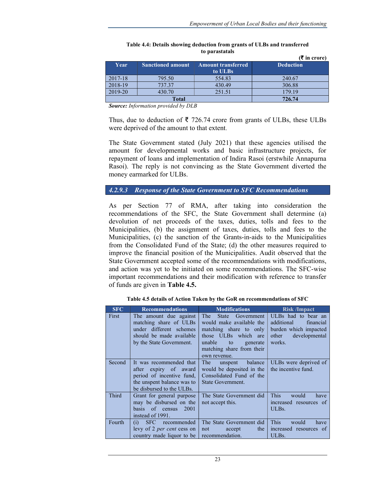|             |                          |                           | $(\bar{\bar{\mathbf{x}}}$ in crore) |
|-------------|--------------------------|---------------------------|-------------------------------------|
| Year        | <b>Sanctioned amount</b> | <b>Amount transferred</b> | <b>Deduction</b>                    |
|             |                          | to ULBs                   |                                     |
| $2017 - 18$ | 795.50                   | 554.83                    | 240.67                              |
| 2018-19     | 737.37                   | 430.49                    | 306.88                              |
| 2019-20     | 430.70                   | 251.51                    | 179.19                              |
|             | <b>Total</b>             | 726.74                    |                                     |

| Table 4.4: Details showing deduction from grants of ULBs and transferred |  |  |
|--------------------------------------------------------------------------|--|--|
| to parastatals                                                           |  |  |

Source: Information provided by DLB

Thus, due to deduction of ₹ 726.74 crore from grants of ULBs, these ULBs were deprived of the amount to that extent.

The State Government stated (July 2021) that these agencies utilised the amount for developmental works and basic infrastructure projects, for repayment of loans and implementation of Indira Rasoi (erstwhile Annapurna Rasoi). The reply is not convincing as the State Government diverted the money earmarked for ULBs.

4.2.9.3 Response of the State Government to SFC Recommendations

As per Section 77 of RMA, after taking into consideration the recommendations of the SFC, the State Government shall determine (a) devolution of net proceeds of the taxes, duties, tolls and fees to the Municipalities, (b) the assignment of taxes, duties, tolls and fees to the Municipalities, (c) the sanction of the Grants-in-aids to the Municipalities from the Consolidated Fund of the State; (d) the other measures required to improve the financial position of the Municipalities. Audit observed that the State Government accepted some of the recommendations with modifications, and action was yet to be initiated on some recommendations. The SFC-wise important recommendations and their modification with reference to transfer of funds are given in Table 4.5.

| <b>SFC</b> | <b>Recommendations</b>                                                                                                                   | <b>Modifications</b>                                                                                                                                                                     | <b>Risk /Impact</b>                                                                                         |
|------------|------------------------------------------------------------------------------------------------------------------------------------------|------------------------------------------------------------------------------------------------------------------------------------------------------------------------------------------|-------------------------------------------------------------------------------------------------------------|
| First      | The amount due against<br>matching share of ULBs<br>under different schemes<br>should be made available<br>by the State Government.      | The<br>Government<br><b>State</b><br>would make available the<br>matching share to only<br>those ULBs which are<br>unable<br>to<br>generate<br>matching share from their<br>own revenue. | ULBs had to bear an<br>additional<br>financial<br>burden which impacted<br>developmental<br>other<br>works. |
| Second     | It was recommended that<br>after expiry of award<br>period of incentive fund,<br>the unspent balance was to<br>be disbursed to the ULBs. | The<br>balance<br>unspent<br>would be deposited in the<br>Consolidated Fund of the<br>State Government.                                                                                  | ULBs were deprived of<br>the incentive fund.                                                                |
| Third      | Grant for general purpose<br>may be disbursed on the<br>basis of census<br>2001<br>instead of 1991.                                      | The State Government did<br>not accept this.                                                                                                                                             | <b>This</b><br>would<br>have<br>increased resources of<br>ULBs.                                             |
| Fourth     | <b>SFC</b><br>recommended<br>(i)<br>levy of 2 <i>per cent</i> cess on<br>country made liquor to be                                       | The State Government did<br>the<br>not<br>accept<br>recommendation.                                                                                                                      | <b>This</b><br>would<br>have<br>increased resources of<br>ULBs.                                             |

Table 4.5 details of Action Taken by the GoR on recommendations of SFC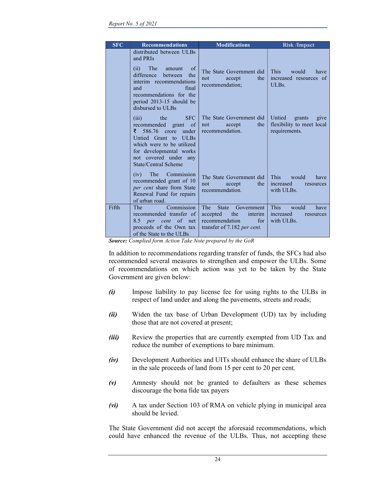| <b>SFC</b> | <b>Recommendations</b>                                                                                                                                                                                                            | <b>Modifications</b>                                                                                                        | <b>Risk /Impact</b>                                                    |
|------------|-----------------------------------------------------------------------------------------------------------------------------------------------------------------------------------------------------------------------------------|-----------------------------------------------------------------------------------------------------------------------------|------------------------------------------------------------------------|
|            | distributed between ULBs<br>and PRIs<br>of<br>(ii)<br><b>The</b><br>amount<br>difference<br>between<br>the<br>interim recommendations<br>final<br>and<br>recommendations for the<br>period 2013-15 should be<br>disbursed to ULBs | The State Government did<br>accept<br>the<br>not<br>recommendation;                                                         | This<br>would<br>have<br>increased resources of<br>ULBs.               |
|            | <b>SFC</b><br>(iii)<br>the<br>recommended grant<br><sub>of</sub><br>586.76 crore<br>₹<br>under<br>Untied Grant to ULBs<br>which were to be utilized<br>for developmental works<br>not covered under any<br>State/Central Scheme   | The State Government did<br>the<br>accept<br>not<br>recommendation.                                                         | Untied<br>grants<br>give<br>flexibility to meet local<br>requirements. |
|            | (iv) The Commission<br>recommended grant of 10<br>per cent share from State<br>Renewal Fund for repairs<br>of urban road.                                                                                                         | The State Government did<br>the<br>not<br>accept<br>recommendation.                                                         | <b>This</b><br>would<br>have<br>increased<br>resources<br>with ULBs.   |
| Fifth      | Commission<br>The<br>recommended transfer of<br>of net<br>8.5<br>per<br>cent<br>proceeds of the Own tax<br>of the State to the ULBs                                                                                               | The<br><b>State</b><br>Government  <br>the<br>accepted<br>interim  <br>recommendation<br>for<br>transfer of 7.182 per cent. | <b>This</b><br>would<br>have<br>increased<br>resources<br>with ULBs.   |

Source: Complied form Action Take Note prepared by the GoR

In addition to recommendations regarding transfer of funds, the SFCs had also recommended several measures to strengthen and empower the ULBs. Some of recommendations on which action was yet to be taken by the State Government are given below:

- (i) Impose liability to pay license fee for using rights to the ULBs in respect of land under and along the pavements, streets and roads;
- (ii) Widen the tax base of Urban Development (UD) tax by including those that are not covered at present;
- (iii) Review the properties that are currently exempted from UD Tax and reduce the number of exemptions to bare minimum.
- (iv) Development Authorities and UITs should enhance the share of ULBs in the sale proceeds of land from 15 per cent to 20 per cent.
- (v) Amnesty should not be granted to defaulters as these schemes discourage the bona fide tax payers
- (vi) A tax under Section 103 of RMA on vehicle plying in municipal area should be levied.

The State Government did not accept the aforesaid recommendations, which could have enhanced the revenue of the ULBs. Thus, not accepting these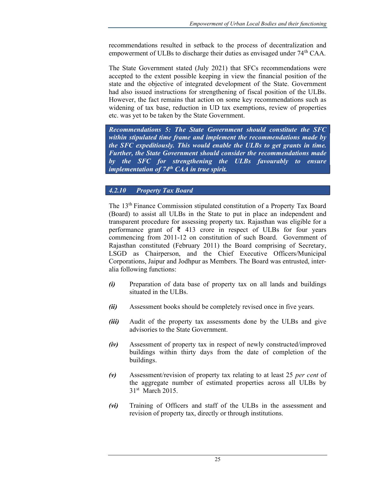recommendations resulted in setback to the process of decentralization and empowerment of ULBs to discharge their duties as envisaged under 74<sup>th</sup> CAA.

The State Government stated (July 2021) that SFCs recommendations were accepted to the extent possible keeping in view the financial position of the state and the objective of integrated development of the State. Government had also issued instructions for strengthening of fiscal position of the ULBs. However, the fact remains that action on some key recommendations such as widening of tax base, reduction in UD tax exemptions, review of properties etc. was yet to be taken by the State Government.

Recommendations 5: The State Government should constitute the SFC within stipulated time frame and implement the recommendations made by the SFC expeditiously. This would enable the ULBs to get grants in time. Further, the State Government should consider the recommendations made by the SFC for strengthening the ULBs favourably to ensure implementation of  $74<sup>th</sup> CA$  in true spirit.

## 4.2.10 Property Tax Board

The 13<sup>th</sup> Finance Commission stipulated constitution of a Property Tax Board (Board) to assist all ULBs in the State to put in place an independent and transparent procedure for assessing property tax. Rajasthan was eligible for a performance grant of  $\bar{\tau}$  413 crore in respect of ULBs for four years commencing from 2011-12 on constitution of such Board. Government of Rajasthan constituted (February 2011) the Board comprising of Secretary, LSGD as Chairperson, and the Chief Executive Officers/Municipal Corporations, Jaipur and Jodhpur as Members. The Board was entrusted, interalia following functions:

- (i) Preparation of data base of property tax on all lands and buildings situated in the ULBs.
- (ii) Assessment books should be completely revised once in five years.
- (iii) Audit of the property tax assessments done by the ULBs and give advisories to the State Government.
- (iv) Assessment of property tax in respect of newly constructed/improved buildings within thirty days from the date of completion of the buildings.
- (v) Assessment/revision of property tax relating to at least 25 *per cent* of the aggregate number of estimated properties across all ULBs by 31<sup>st</sup> March 2015.
- (vi) Training of Officers and staff of the ULBs in the assessment and revision of property tax, directly or through institutions.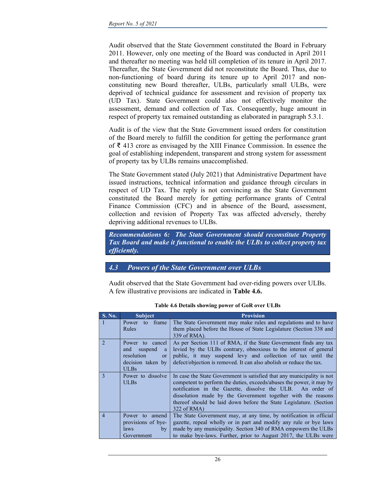Audit observed that the State Government constituted the Board in February 2011. However, only one meeting of the Board was conducted in April 2011 and thereafter no meeting was held till completion of its tenure in April 2017. Thereafter, the State Government did not reconstitute the Board. Thus, due to non-functioning of board during its tenure up to April 2017 and nonconstituting new Board thereafter, ULBs, particularly small ULBs, were deprived of technical guidance for assessment and revision of property tax (UD Tax). State Government could also not effectively monitor the assessment, demand and collection of Tax. Consequently, huge amount in respect of property tax remained outstanding as elaborated in paragraph 5.3.1.

Audit is of the view that the State Government issued orders for constitution of the Board merely to fulfill the condition for getting the performance grant of ₹ 413 crore as envisaged by the XIII Finance Commission. In essence the goal of establishing independent, transparent and strong system for assessment of property tax by ULBs remains unaccomplished.

The State Government stated (July 2021) that Administrative Department have issued instructions, technical information and guidance through circulars in respect of UD Tax. The reply is not convincing as the State Government constituted the Board merely for getting performance grants of Central Finance Commission (CFC) and in absence of the Board, assessment, collection and revision of Property Tax was affected adversely, thereby depriving additional revenues to ULBs.

Recommendations 6: The State Government should reconstitute Property Tax Board and make it functional to enable the ULBs to collect property tax efficiently.

## 4.3 Powers of the State Government over ULBs

Audit observed that the State Government had over-riding powers over ULBs. A few illustrative provisions are indicated in Table 4.6.

| $S. N0$ .             | <b>Subject</b>                                                                                            | <b>Provision</b>                                                                                                                                                                                                                                                                                                                                                  |
|-----------------------|-----------------------------------------------------------------------------------------------------------|-------------------------------------------------------------------------------------------------------------------------------------------------------------------------------------------------------------------------------------------------------------------------------------------------------------------------------------------------------------------|
| $\mathbf{1}$          | frame<br>Power to<br>Rules                                                                                | The State Government may make rules and regulations and to have<br>them placed before the House of State Legislature (Section 338 and<br>339 of RMA).                                                                                                                                                                                                             |
| $\mathcal{D}_{\cdot}$ | Power to cancel<br>suspend<br>and<br>a<br>resolution<br><sub>or</sub><br>decision taken by<br><b>ULBs</b> | As per Section 111 of RMA, if the State Government finds any tax<br>levied by the ULBs contrary, obnoxious to the interest of general<br>public, it may suspend levy and collection of tax until the<br>defect/objection is removed. It can also abolish or reduce the tax.                                                                                       |
| $\mathbf{3}$          | Power to dissolve<br><b>ULBs</b>                                                                          | In case the State Government is satisfied that any municipality is not<br>competent to perform the duties, exceeds/abuses the power, it may by<br>notification in the Gazette, dissolve the ULB. An order of<br>dissolution made by the Government together with the reasons<br>thereof should be laid down before the State Legislature. (Section<br>322 of RMA) |
| $\overline{4}$        | Power to amend<br>provisions of bye-<br><i>laws</i><br>$\mathbf{b} \mathbf{v}$<br>Government              | The State Government may, at any time, by notification in official<br>gazette, repeal wholly or in part and modify any rule or bye laws<br>made by any municipality. Section 340 of RMA empowers the ULBs<br>to make bye-laws. Further, prior to August 2017, the ULBs were                                                                                       |

Table 4.6 Details showing power of GoR over ULBs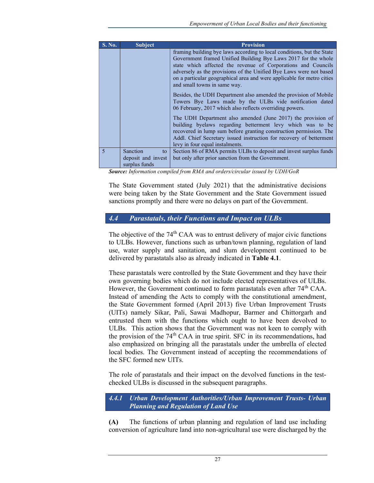| <b>S. No.</b>           | <b>Subject</b>                                        | <b>Provision</b>                                                                                                                                                                                                                                                                                                                                                                          |
|-------------------------|-------------------------------------------------------|-------------------------------------------------------------------------------------------------------------------------------------------------------------------------------------------------------------------------------------------------------------------------------------------------------------------------------------------------------------------------------------------|
|                         |                                                       | framing building bye laws according to local conditions, but the State<br>Government framed Unified Building Bye Laws 2017 for the whole<br>state which affected the revenue of Corporations and Councils<br>adversely as the provisions of the Unified Bye Laws were not based<br>on a particular geographical area and were applicable for metro cities<br>and small towns in same way. |
|                         |                                                       | Besides, the UDH Department also amended the provision of Mobile<br>Towers Bye Laws made by the ULBs vide notification dated<br>06 February, 2017 which also reflects overriding powers.                                                                                                                                                                                                  |
|                         |                                                       | The UDH Department also amended (June 2017) the provision of<br>building byelaws regarding betterment levy which was to be<br>recovered in lump sum before granting construction permission. The<br>Addl. Chief Secretary issued instruction for recovery of betterment<br>levy in four equal instalments.                                                                                |
| $\overline{\mathbf{5}}$ | Sanction<br>to<br>deposit and invest<br>surplus funds | Section 86 of RMA permits ULBs to deposit and invest surplus funds<br>but only after prior sanction from the Government.                                                                                                                                                                                                                                                                  |

Source: Information compiled from RMA and orders/circular issued by UDH/GoR

The State Government stated (July 2021) that the administrative decisions were being taken by the State Government and the State Government issued sanctions promptly and there were no delays on part of the Government.

## 4.4 Parastatals, their Functions and Impact on ULBs

The objective of the  $74<sup>th</sup>$  CAA was to entrust delivery of major civic functions to ULBs. However, functions such as urban/town planning, regulation of land use, water supply and sanitation, and slum development continued to be delivered by parastatals also as already indicated in Table 4.1.

These parastatals were controlled by the State Government and they have their own governing bodies which do not include elected representatives of ULBs. However, the Government continued to form parastatals even after 74<sup>th</sup> CAA. Instead of amending the Acts to comply with the constitutional amendment, the State Government formed (April 2013) five Urban Improvement Trusts (UITs) namely Sikar, Pali, Sawai Madhopur, Barmer and Chittorgarh and entrusted them with the functions which ought to have been devolved to ULBs. This action shows that the Government was not keen to comply with the provision of the  $74<sup>th</sup>$  CAA in true spirit. SFC in its recommendations, had also emphasized on bringing all the parastatals under the umbrella of elected local bodies. The Government instead of accepting the recommendations of the SFC formed new UITs.

The role of parastatals and their impact on the devolved functions in the testchecked ULBs is discussed in the subsequent paragraphs.

4.4.1 Urban Development Authorities/Urban Improvement Trusts- Urban Planning and Regulation of Land Use

(A) The functions of urban planning and regulation of land use including conversion of agriculture land into non-agricultural use were discharged by the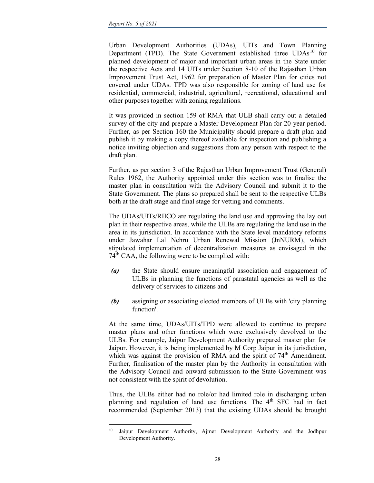Urban Development Authorities (UDAs), UITs and Town Planning Department (TPD). The State Government established three UDAs<sup>10</sup> for planned development of major and important urban areas in the State under the respective Acts and 14 UITs under Section 8-10 of the Rajasthan Urban Improvement Trust Act, 1962 for preparation of Master Plan for cities not covered under UDAs. TPD was also responsible for zoning of land use for residential, commercial, industrial, agricultural, recreational, educational and other purposes together with zoning regulations.

It was provided in section 159 of RMA that ULB shall carry out a detailed survey of the city and prepare a Master Development Plan for 20-year period. Further, as per Section 160 the Municipality should prepare a draft plan and publish it by making a copy thereof available for inspection and publishing a notice inviting objection and suggestions from any person with respect to the draft plan.

Further, as per section 3 of the Rajasthan Urban Improvement Trust (General) Rules 1962, the Authority appointed under this section was to finalise the master plan in consultation with the Advisory Council and submit it to the State Government. The plans so prepared shall be sent to the respective ULBs both at the draft stage and final stage for vetting and comments.

The UDAs/UITs/RIICO are regulating the land use and approving the lay out plan in their respective areas, while the ULBs are regulating the land use in the area in its jurisdiction. In accordance with the State level mandatory reforms under Jawahar Lal Nehru Urban Renewal Mission (JnNURM), which stipulated implementation of decentralization measures as envisaged in the  $74<sup>th</sup>$  CAA, the following were to be complied with:

- (a) the State should ensure meaningful association and engagement of ULBs in planning the functions of parastatal agencies as well as the delivery of services to citizens and
- (b) assigning or associating elected members of ULBs with 'city planning function'.

At the same time, UDAs/UITs/TPD were allowed to continue to prepare master plans and other functions which were exclusively devolved to the ULBs. For example, Jaipur Development Authority prepared master plan for Jaipur. However, it is being implemented by M Corp Jaipur in its jurisdiction, which was against the provision of RMA and the spirit of  $74<sup>th</sup>$  Amendment. Further, finalisation of the master plan by the Authority in consultation with the Advisory Council and onward submission to the State Government was not consistent with the spirit of devolution.

Thus, the ULBs either had no role/or had limited role in discharging urban planning and regulation of land use functions. The 4<sup>th</sup> SFC had in fact recommended (September 2013) that the existing UDAs should be brought

<sup>10</sup> Jaipur Development Authority, Ajmer Development Authority and the Jodhpur Development Authority.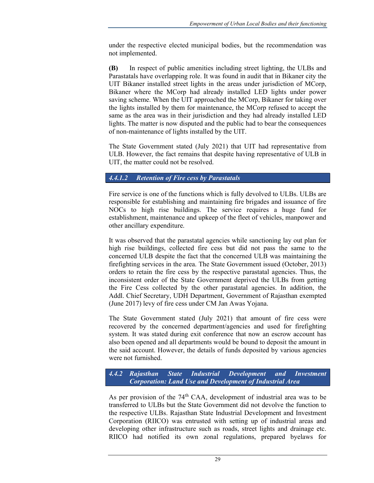under the respective elected municipal bodies, but the recommendation was not implemented.

(B) In respect of public amenities including street lighting, the ULBs and Parastatals have overlapping role. It was found in audit that in Bikaner city the UIT Bikaner installed street lights in the areas under jurisdiction of MCorp, Bikaner where the MCorp had already installed LED lights under power saving scheme. When the UIT approached the MCorp, Bikaner for taking over the lights installed by them for maintenance, the MCorp refused to accept the same as the area was in their jurisdiction and they had already installed LED lights. The matter is now disputed and the public had to bear the consequences of non-maintenance of lights installed by the UIT.

The State Government stated (July 2021) that UIT had representative from ULB. However, the fact remains that despite having representative of ULB in UIT, the matter could not be resolved.

### 4.4.1.2 Retention of Fire cess by Parastatals

Fire service is one of the functions which is fully devolved to ULBs. ULBs are responsible for establishing and maintaining fire brigades and issuance of fire NOCs to high rise buildings. The service requires a huge fund for establishment, maintenance and upkeep of the fleet of vehicles, manpower and other ancillary expenditure.

It was observed that the parastatal agencies while sanctioning lay out plan for high rise buildings, collected fire cess but did not pass the same to the concerned ULB despite the fact that the concerned ULB was maintaining the firefighting services in the area. The State Government issued (October, 2013) orders to retain the fire cess by the respective parastatal agencies. Thus, the inconsistent order of the State Government deprived the ULBs from getting the Fire Cess collected by the other parastatal agencies. In addition, the Addl. Chief Secretary, UDH Department, Government of Rajasthan exempted (June 2017) levy of fire cess under CM Jan Awas Yojana.

The State Government stated (July 2021) that amount of fire cess were recovered by the concerned department/agencies and used for firefighting system. It was stated during exit conference that now an escrow account has also been opened and all departments would be bound to deposit the amount in the said account. However, the details of funds deposited by various agencies were not furnished.

4.4.2 Rajasthan State Industrial Development and Investment Corporation: Land Use and Development of Industrial Area

As per provision of the  $74<sup>th</sup>$  CAA, development of industrial area was to be transferred to ULBs but the State Government did not devolve the function to the respective ULBs. Rajasthan State Industrial Development and Investment Corporation (RIICO) was entrusted with setting up of industrial areas and developing other infrastructure such as roads, street lights and drainage etc. RIICO had notified its own zonal regulations, prepared byelaws for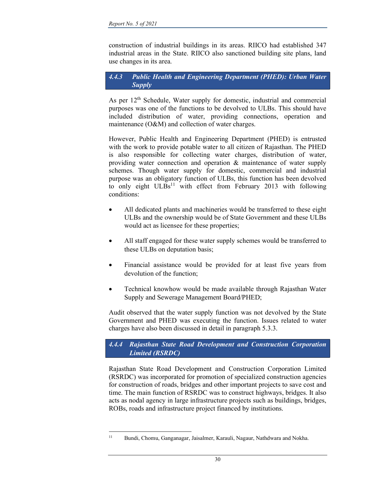construction of industrial buildings in its areas. RIICO had established 347 industrial areas in the State. RIICO also sanctioned building site plans, land use changes in its area.

### 4.4.3 Public Health and Engineering Department (PHED): Urban Water **Supply**

As per  $12<sup>th</sup>$  Schedule, Water supply for domestic, industrial and commercial purposes was one of the functions to be devolved to ULBs. This should have included distribution of water, providing connections, operation and maintenance (O&M) and collection of water charges.

However, Public Health and Engineering Department (PHED) is entrusted with the work to provide potable water to all citizen of Rajasthan. The PHED is also responsible for collecting water charges, distribution of water, providing water connection and operation & maintenance of water supply schemes. Though water supply for domestic, commercial and industrial purpose was an obligatory function of ULBs, this function has been devolved to only eight ULBs<sup>11</sup> with effect from February 2013 with following conditions:

- All dedicated plants and machineries would be transferred to these eight ULBs and the ownership would be of State Government and these ULBs would act as licensee for these properties;
- All staff engaged for these water supply schemes would be transferred to these ULBs on deputation basis;
- Financial assistance would be provided for at least five years from devolution of the function;
- Technical knowhow would be made available through Rajasthan Water Supply and Sewerage Management Board/PHED;

Audit observed that the water supply function was not devolved by the State Government and PHED was executing the function. Issues related to water charges have also been discussed in detail in paragraph 5.3.3.

4.4.4 Rajasthan State Road Development and Construction Corporation Limited (RSRDC)

Rajasthan State Road Development and Construction Corporation Limited (RSRDC) was incorporated for promotion of specialized construction agencies for construction of roads, bridges and other important projects to save cost and time. The main function of RSRDC was to construct highways, bridges. It also acts as nodal agency in large infrastructure projects such as buildings, bridges, ROBs, roads and infrastructure project financed by institutions.

<sup>11</sup> Bundi, Chomu, Ganganagar, Jaisalmer, Karauli, Nagaur, Nathdwara and Nokha.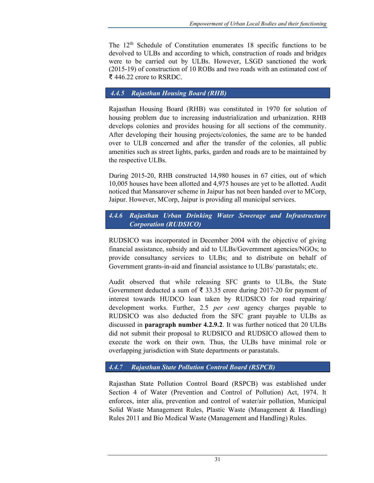The  $12<sup>th</sup>$  Schedule of Constitution enumerates 18 specific functions to be devolved to ULBs and according to which, construction of roads and bridges were to be carried out by ULBs. However, LSGD sanctioned the work (2015-19) of construction of 10 ROBs and two roads with an estimated cost of ₹ 446.22 crore to RSRDC.

#### 4.4.5 Rajasthan Housing Board (RHB)

Rajasthan Housing Board (RHB) was constituted in 1970 for solution of housing problem due to increasing industrialization and urbanization. RHB develops colonies and provides housing for all sections of the community. After developing their housing projects/colonies, the same are to be handed over to ULB concerned and after the transfer of the colonies, all public amenities such as street lights, parks, garden and roads are to be maintained by the respective ULBs.

During 2015-20, RHB constructed 14,980 houses in 67 cities, out of which 10,005 houses have been allotted and 4,975 houses are yet to be allotted. Audit noticed that Mansarover scheme in Jaipur has not been handed over to MCorp, Jaipur. However, MCorp, Jaipur is providing all municipal services.

## 4.4.6 Rajasthan Urban Drinking Water Sewerage and Infrastructure Corporation (RUDSICO)

RUDSICO was incorporated in December 2004 with the objective of giving financial assistance, subsidy and aid to ULBs/Government agencies/NGOs; to provide consultancy services to ULBs; and to distribute on behalf of Government grants-in-aid and financial assistance to ULBs/ parastatals; etc.

Audit observed that while releasing SFC grants to ULBs, the State Government deducted a sum of ₹ 33.35 crore during 2017-20 for payment of interest towards HUDCO loan taken by RUDSICO for road repairing/ development works. Further, 2.5 *per cent* agency charges payable to RUDSICO was also deducted from the SFC grant payable to ULBs as discussed in paragraph number 4.2.9.2. It was further noticed that 20 ULBs did not submit their proposal to RUDSICO and RUDSICO allowed them to execute the work on their own. Thus, the ULBs have minimal role or overlapping jurisdiction with State departments or parastatals.

### 4.4.7 Rajasthan State Pollution Control Board (RSPCB)

Rajasthan State Pollution Control Board (RSPCB) was established under Section 4 of Water (Prevention and Control of Pollution) Act, 1974. It enforces, inter alia, prevention and control of water/air pollution, Municipal Solid Waste Management Rules, Plastic Waste (Management & Handling) Rules 2011 and Bio Medical Waste (Management and Handling) Rules.